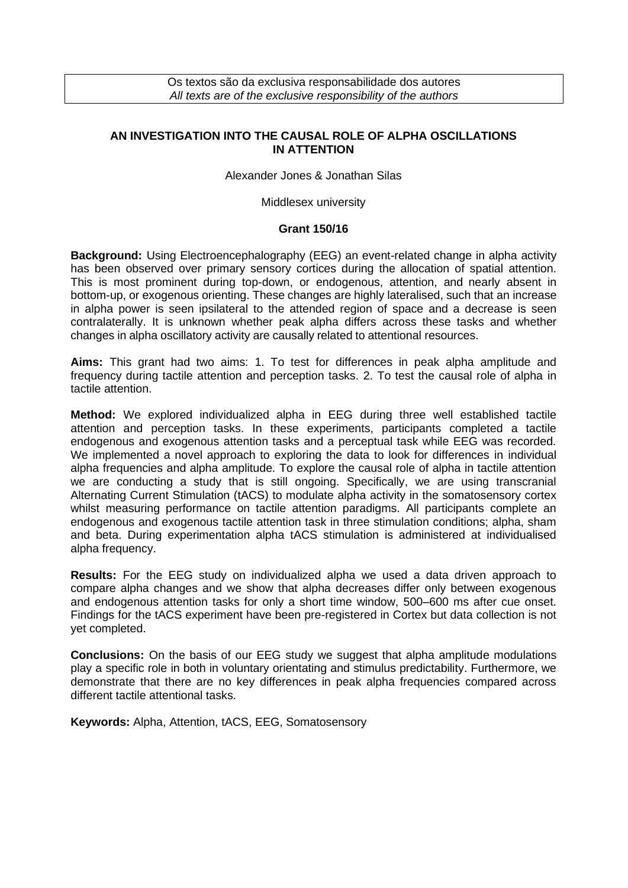Os textos são da exclusiva responsabilidade dos autores *All texts are of the exclusive responsibility of the authors*

## **AN INVESTIGATION INTO THE CAUSAL ROLE OF ALPHA OSCILLATIONS IN ATTENTION**

Alexander Jones & Jonathan Silas

Middlesex university

## **Grant 150/16**

**Background:** Using Electroencephalography (EEG) an event-related change in alpha activity has been observed over primary sensory cortices during the allocation of spatial attention. This is most prominent during top-down, or endogenous, attention, and nearly absent in bottom-up, or exogenous orienting. These changes are highly lateralised, such that an increase in alpha power is seen ipsilateral to the attended region of space and a decrease is seen contralaterally. It is unknown whether peak alpha differs across these tasks and whether changes in alpha oscillatory activity are causally related to attentional resources.

**Aims:** This grant had two aims: 1. To test for differences in peak alpha amplitude and frequency during tactile attention and perception tasks. 2. To test the causal role of alpha in tactile attention.

**Method:** We explored individualized alpha in EEG during three well established tactile attention and perception tasks. In these experiments, participants completed a tactile endogenous and exogenous attention tasks and a perceptual task while EEG was recorded. We implemented a novel approach to exploring the data to look for differences in individual alpha frequencies and alpha amplitude. To explore the causal role of alpha in tactile attention we are conducting a study that is still ongoing. Specifically, we are using transcranial Alternating Current Stimulation (tACS) to modulate alpha activity in the somatosensory cortex whilst measuring performance on tactile attention paradigms. All participants complete an endogenous and exogenous tactile attention task in three stimulation conditions; alpha, sham and beta. During experimentation alpha tACS stimulation is administered at individualised alpha frequency.

**Results:** For the EEG study on individualized alpha we used a data driven approach to compare alpha changes and we show that alpha decreases differ only between exogenous and endogenous attention tasks for only a short time window, 500–600 ms after cue onset. Findings for the tACS experiment have been pre-registered in Cortex but data collection is not yet completed.

**Conclusions:** On the basis of our EEG study we suggest that alpha amplitude modulations play a specific role in both in voluntary orientating and stimulus predictability. Furthermore, we demonstrate that there are no key differences in peak alpha frequencies compared across different tactile attentional tasks.

**Keywords:** Alpha, Attention, tACS, EEG, Somatosensory